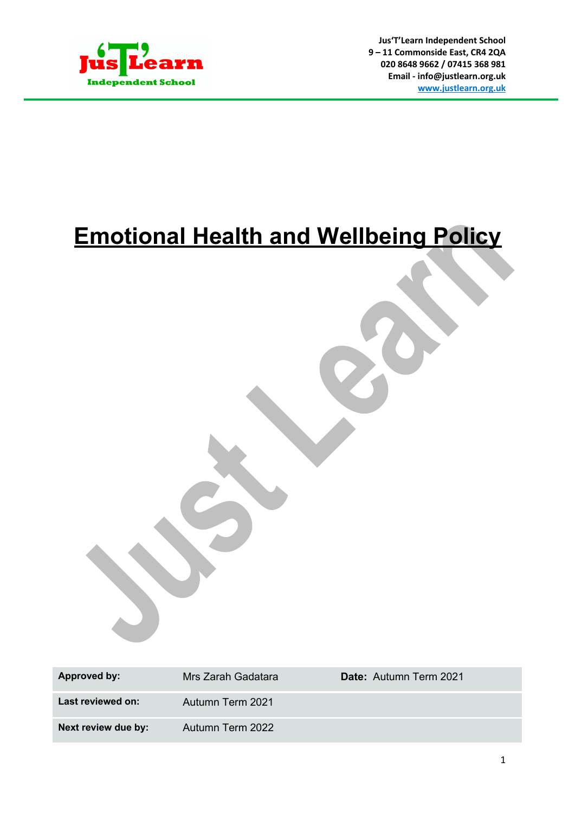

**Jus'T'Learn Independent School 9 – 11 Commonside East, CR4 2QA 020 8648 9662 / 07415 368 981 Email - info@justlearn.org.uk www.justlearn.org.uk**

# **Emotional Health and Wellbeing Policy**

| Approved by:        | Mrs Zarah Gadatara | <b>Date:</b> Autumn Term 2021 |
|---------------------|--------------------|-------------------------------|
| Last reviewed on:   | Autumn Term 2021   |                               |
| Next review due by: | Autumn Term 2022   |                               |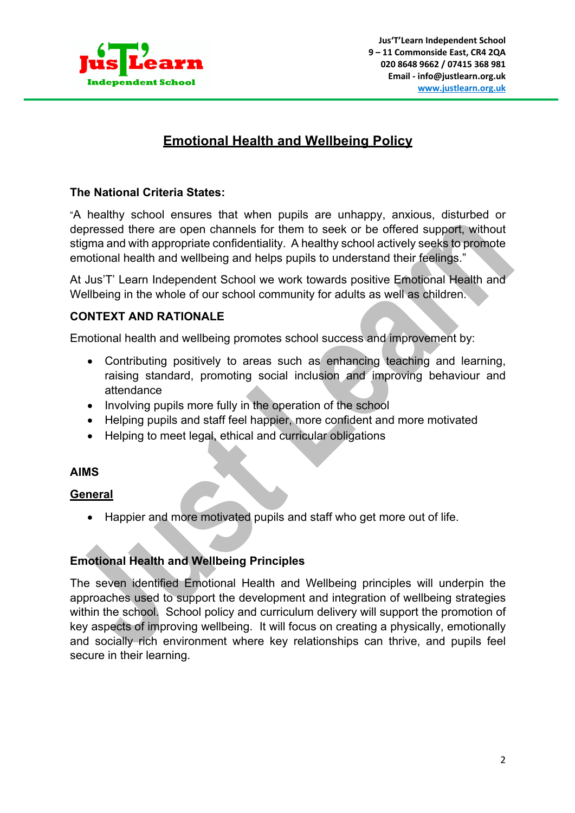

# **Emotional Health and Wellbeing Policy**

### **The National Criteria States:**

"A healthy school ensures that when pupils are unhappy, anxious, disturbed or depressed there are open channels for them to seek or be offered support, without stigma and with appropriate confidentiality. A healthy school actively seeks to promote emotional health and wellbeing and helps pupils to understand their feelings."

At Jus'T' Learn Independent School we work towards positive Emotional Health and Wellbeing in the whole of our school community for adults as well as children.

# **CONTEXT AND RATIONALE**

Emotional health and wellbeing promotes school success and improvement by:

- Contributing positively to areas such as enhancing teaching and learning, raising standard, promoting social inclusion and improving behaviour and attendance
- Involving pupils more fully in the operation of the school
- Helping pupils and staff feel happier, more confident and more motivated
- Helping to meet legal, ethical and curricular obligations

#### **AIMS**

#### **General**

• Happier and more motivated pupils and staff who get more out of life.

# **Emotional Health and Wellbeing Principles**

The seven identified Emotional Health and Wellbeing principles will underpin the approaches used to support the development and integration of wellbeing strategies within the school. School policy and curriculum delivery will support the promotion of key aspects of improving wellbeing. It will focus on creating a physically, emotionally and socially rich environment where key relationships can thrive, and pupils feel secure in their learning.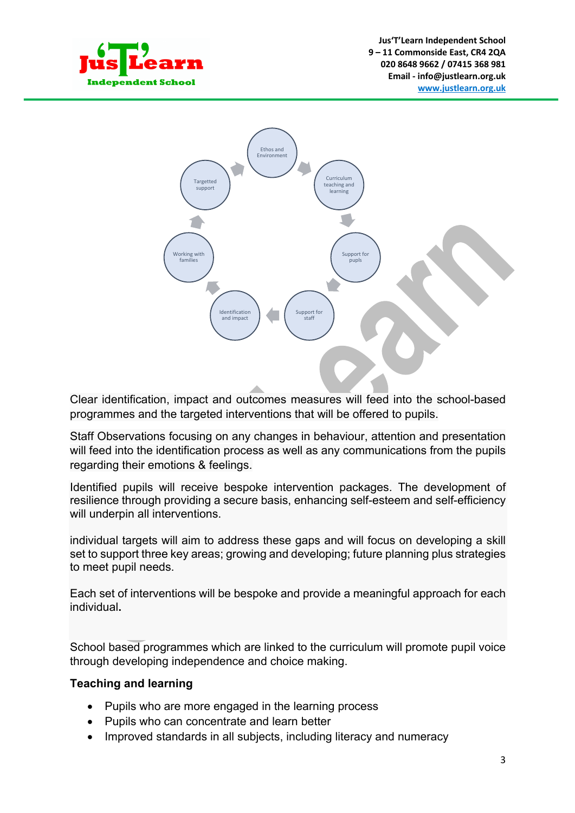



Clear identification, impact and outcomes measures will feed into the school-based programmes and the targeted interventions that will be offered to pupils.

Staff Observations focusing on any changes in behaviour, attention and presentation will feed into the identification process as well as any communications from the pupils regarding their emotions & feelings.

Identified pupils will receive bespoke intervention packages. The development of resilience through providing a secure basis, enhancing self-esteem and self-efficiency will underpin all interventions.

individual targets will aim to address these gaps and will focus on developing a skill set to support three key areas; growing and developing; future planning plus strategies to meet pupil needs.

Each set of interventions will be bespoke and provide a meaningful approach for each individual**.** 

School based programmes which are linked to the curriculum will promote pupil voice through developing independence and choice making.

# **Teaching and learning**

- Pupils who are more engaged in the learning process
- Pupils who can concentrate and learn better
- Improved standards in all subjects, including literacy and numeracy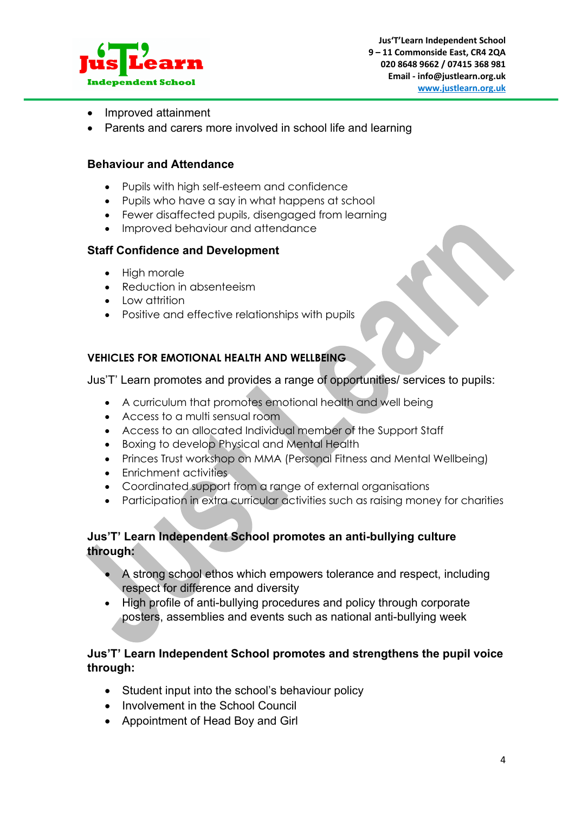

- Improved attainment
- Parents and carers more involved in school life and learning

#### **Behaviour and Attendance**

- Pupils with high self-esteem and confidence
- Pupils who have a say in what happens at school
- Fewer disaffected pupils, disengaged from learning
- Improved behaviour and attendance

#### **Staff Confidence and Development**

- High morale
- Reduction in absenteeism
- Low attrition
- Positive and effective relationships with pupils

#### **VEHICLES FOR EMOTIONAL HEALTH AND WELLBEING**

Jus'T' Learn promotes and provides a range of opportunities/ services to pupils:

- A curriculum that promotes emotional health and well being
- Access to a multi sensual room
- Access to an allocated Individual member of the Support Staff
- Boxing to develop Physical and Mental Health
- Princes Trust workshop on MMA (Personal Fitness and Mental Wellbeing)
- Enrichment activities
- Coordinated support from a range of external organisations
- Participation in extra curricular activities such as raising money for charities

# **Jus'T' Learn Independent School promotes an anti-bullying culture through:**

- A strong school ethos which empowers tolerance and respect, including respect for difference and diversity
- High profile of anti-bullying procedures and policy through corporate posters, assemblies and events such as national anti-bullying week

# **Jus'T' Learn Independent School promotes and strengthens the pupil voice through:**

- Student input into the school's behaviour policy
- Involvement in the School Council
- Appointment of Head Boy and Girl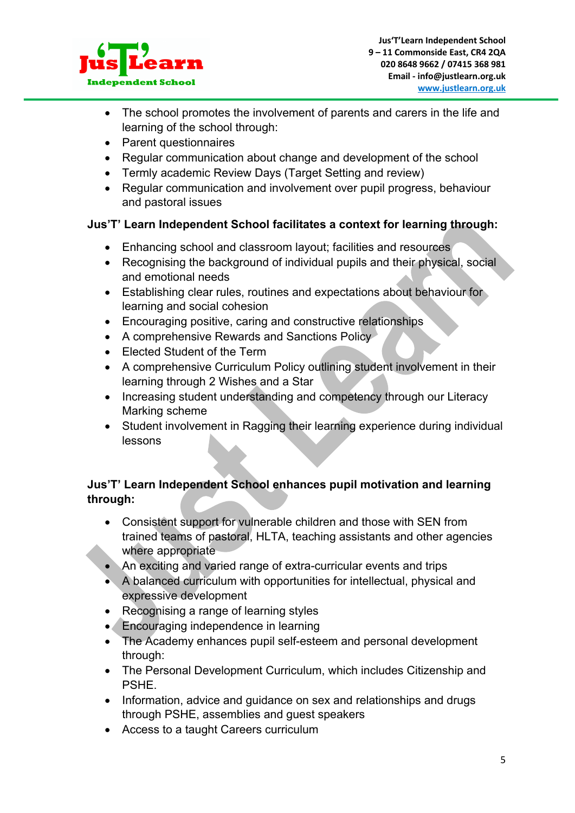

- The school promotes the involvement of parents and carers in the life and learning of the school through:
- Parent questionnaires
- Regular communication about change and development of the school
- Termly academic Review Days (Target Setting and review)
- Regular communication and involvement over pupil progress, behaviour and pastoral issues

# **Jus'T' Learn Independent School facilitates a context for learning through:**

- Enhancing school and classroom layout; facilities and resources
- Recognising the background of individual pupils and their physical, social and emotional needs
- Establishing clear rules, routines and expectations about behaviour for learning and social cohesion
- Encouraging positive, caring and constructive relationships
- A comprehensive Rewards and Sanctions Policy
- Elected Student of the Term
- A comprehensive Curriculum Policy outlining student involvement in their learning through 2 Wishes and a Star
- Increasing student understanding and competency through our Literacy Marking scheme
- Student involvement in Ragging their learning experience during individual lessons

# **Jus'T' Learn Independent School enhances pupil motivation and learning through:**

- Consistent support for vulnerable children and those with SEN from trained teams of pastoral, HLTA, teaching assistants and other agencies where appropriate
- An exciting and varied range of extra-curricular events and trips
- A balanced curriculum with opportunities for intellectual, physical and expressive development
- Recognising a range of learning styles
- Encouraging independence in learning
- The Academy enhances pupil self-esteem and personal development through:
- The Personal Development Curriculum, which includes Citizenship and PSHE.
- Information, advice and guidance on sex and relationships and drugs through PSHE, assemblies and guest speakers
- Access to a taught Careers curriculum